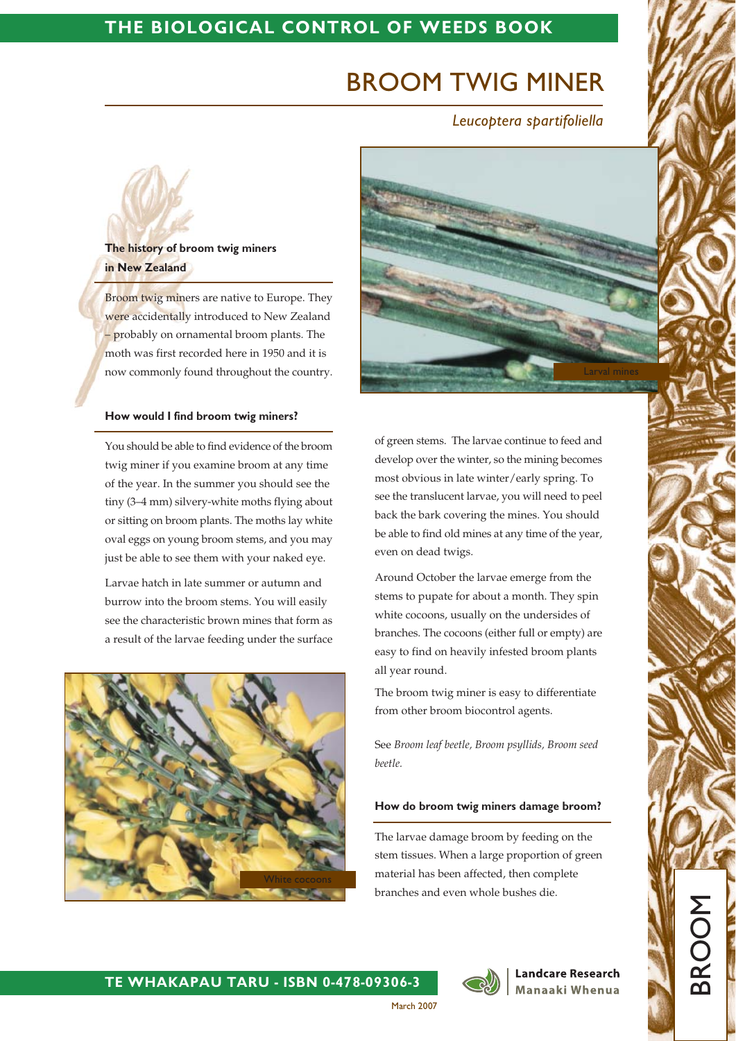## THE BIOLOGICAL CONTROL OF WEEDS BOOK

# **BROOM TWIG MINER**

Leucoptera spartifoliella



Broom twig miners are native to Europe. They were accidentally introduced to New Zealand  $-$  probably on ornamental broom plants. The moth was first recorded here in 1950 and it is now commonly found throughout the country.

#### How would I find broom twig miners?

You should be able to find evidence of the broom twig miner if you examine broom at any time of the year. In the summer you should see the tiny (3-4 mm) silvery-white moths flying about or sitting on broom plants. The moths lay white oval eggs on young broom stems, and you may just be able to see them with your naked eye.

Larvae hatch in late summer or autumn and burrow into the broom stems. You will easily see the characteristic brown mines that form as a result of the larvae feeding under the surface



of green stems. The larvae continue to feed and develop over the winter, so the mining becomes most obvious in late winter/early spring. To see the translucent larvae, you will need to peel back the bark covering the mines. You should be able to find old mines at any time of the year, even on dead twigs.

Around October the larvae emerge from the stems to pupate for about a month. They spin white cocoons, usually on the undersides of branches. The cocoons (either full or empty) are easy to find on heavily infested broom plants all year round.

The broom twig miner is easy to differentiate from other broom biocontrol agents.

See Broom leaf beetle, Broom psyllids, Broom seed beetle.

#### How do broom twig miners damage broom?

The larvae damage broom by feeding on the stem tissues. When a large proportion of green material has been affected, then complete branches and even whole bushes die.



March 2007

**Landcare Research** Manaaki Whenua